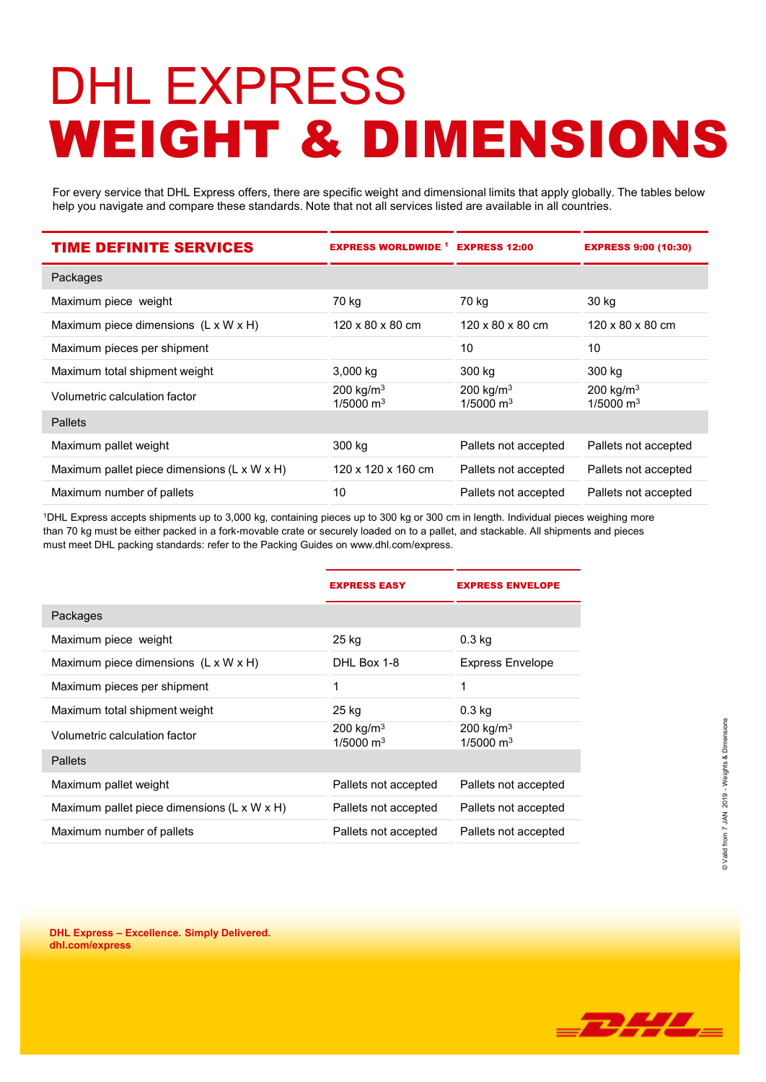## DHL EXPRESS WEIGHT & DIMENSIONS

For every service that DHL Express offers, there are specific weight and dimensional limits that apply globally. The tables below help you navigate and compare these standards. Note that not all services listed are available in all countries.

| <b>TIME DEFINITE SERVICES</b>               | <b>EXPRESS WORLDWIDE 1</b>                    | <b>EXPRESS 12:00</b>                          | <b>EXPRESS 9:00 (10:30)</b>                   |
|---------------------------------------------|-----------------------------------------------|-----------------------------------------------|-----------------------------------------------|
| Packages                                    |                                               |                                               |                                               |
| Maximum piece weight                        | 70 kg                                         | 70 kg                                         | 30 kg                                         |
| Maximum piece dimensions (L x W x H)        | $120 \times 80 \times 80$ cm                  | $120 \times 80 \times 80$ cm                  | $120 \times 80 \times 80$ cm                  |
| Maximum pieces per shipment                 |                                               | 10                                            | 10                                            |
| Maximum total shipment weight               | 3,000 kg                                      | 300 kg                                        | 300 kg                                        |
| Volumetric calculation factor               | 200 kg/m <sup>3</sup><br>$1/5000 \text{ m}^3$ | 200 kg/m <sup>3</sup><br>$1/5000 \text{ m}^3$ | 200 kg/m <sup>3</sup><br>$1/5000 \text{ m}^3$ |
| <b>Pallets</b>                              |                                               |                                               |                                               |
| Maximum pallet weight                       | 300 kg                                        | Pallets not accepted                          | Pallets not accepted                          |
| Maximum pallet piece dimensions (L x W x H) | 120 x 120 x 160 cm                            | Pallets not accepted                          | Pallets not accepted                          |
| Maximum number of pallets                   | 10                                            | Pallets not accepted                          | Pallets not accepted                          |

1DHL Express accepts shipments up to 3,000 kg, containing pieces up to 300 kg or 300 cm in length. Individual pieces weighing more than 70 kg must be either packed in a fork-movable crate or securely loaded on to a pallet, and stackable. All shipments and pieces must meet DHL packing standards: refer to the Packing Guides on www.dhl.com/express.

|                                             | <b>EXPRESS EASY</b>                           | <b>EXPRESS ENVELOPE</b>                       |
|---------------------------------------------|-----------------------------------------------|-----------------------------------------------|
| Packages                                    |                                               |                                               |
| Maximum piece weight                        | 25 kg                                         | $0.3$ kg                                      |
| Maximum piece dimensions (L x W x H)        | DHL Box 1-8                                   | <b>Express Envelope</b>                       |
| Maximum pieces per shipment                 | 1                                             | 1                                             |
| Maximum total shipment weight               | 25 kg                                         | 0.3 <sub>kq</sub>                             |
| Volumetric calculation factor               | 200 kg/m <sup>3</sup><br>$1/5000 \text{ m}^3$ | 200 kg/m <sup>3</sup><br>$1/5000 \text{ m}^3$ |
| Pallets                                     |                                               |                                               |
| Maximum pallet weight                       | Pallets not accepted                          | Pallets not accepted                          |
| Maximum pallet piece dimensions (L x W x H) | Pallets not accepted                          | Pallets not accepted                          |
| Maximum number of pallets                   | Pallets not accepted                          | Pallets not accepted                          |

**DHL Express – Excellence. Simply Delivered. dhl.com/express**